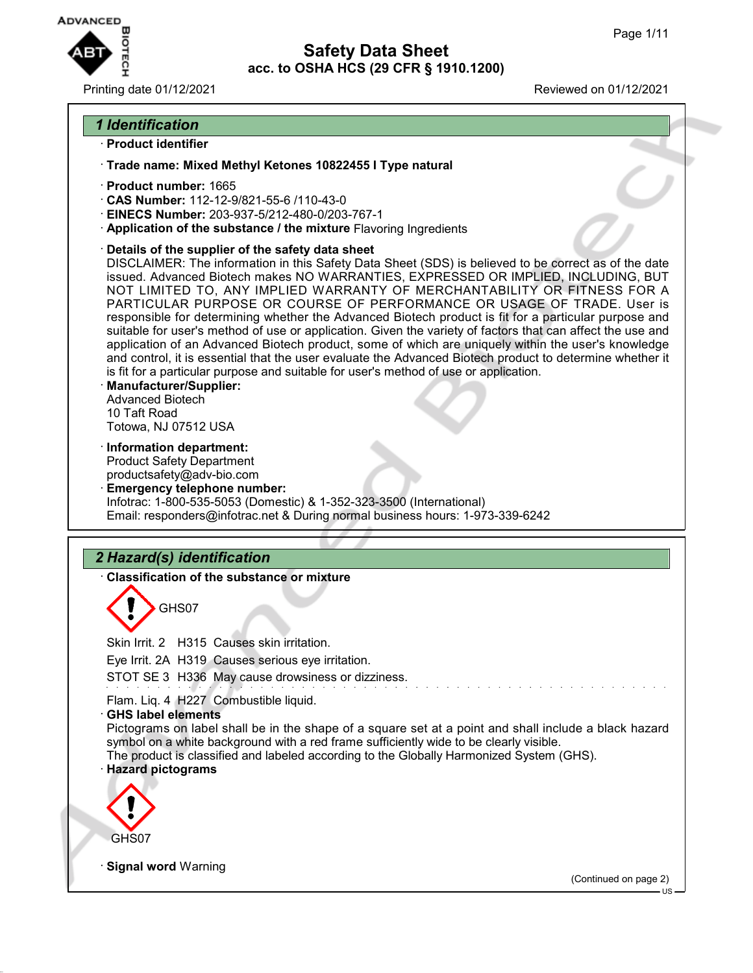US



**Safety Data Sheet acc. to OSHA HCS (29 CFR § 1910.1200)**

#### Printing date 01/12/2021 Reviewed on 01/12/2021

# *1 Identification*

## · **Product identifier**

· **Trade name: Mixed Methyl Ketones 10822455 I Type natural**

- · **Product number:** 1665
- · **CAS Number:** 112-12-9/821-55-6 /110-43-0
- · **EINECS Number:** 203-937-5/212-480-0/203-767-1
- · **Application of the substance / the mixture** Flavoring Ingredients
- · **Details of the supplier of the safety data sheet**

DISCLAIMER: The information in this Safety Data Sheet (SDS) is believed to be correct as of the date issued. Advanced Biotech makes NO WARRANTIES, EXPRESSED OR IMPLIED, INCLUDING, BUT NOT LIMITED TO, ANY IMPLIED WARRANTY OF MERCHANTABILITY OR FITNESS FOR A PARTICULAR PURPOSE OR COURSE OF PERFORMANCE OR USAGE OF TRADE. User is responsible for determining whether the Advanced Biotech product is fit for a particular purpose and suitable for user's method of use or application. Given the variety of factors that can affect the use and application of an Advanced Biotech product, some of which are uniquely within the user's knowledge and control, it is essential that the user evaluate the Advanced Biotech product to determine whether it is fit for a particular purpose and suitable for user's method of use or application.

- · **Manufacturer/Supplier:** Advanced Biotech 10 Taft Road Totowa, NJ 07512 USA
- · **Information department:**

Product Safety Department productsafety@adv-bio.com

· **Emergency telephone number:** Infotrac: 1-800-535-5053 (Domestic) & 1-352-323-3500 (International) Email: responders@infotrac.net & During normal business hours: 1-973-339-6242

# *2 Hazard(s) identification*

· **Classification of the substance or mixture**

GHS07

Skin Irrit. 2 H315 Causes skin irritation. Eye Irrit. 2A H319 Causes serious eye irritation. STOT SE 3 H336 May cause drowsiness or dizziness. Flam. Liq. 4 H227 Combustible liquid. · **GHS label elements** Pictograms on label shall be in the shape of a square set at a point and shall include a black hazard symbol on a white background with a red frame sufficiently wide to be clearly visible. The product is classified and labeled according to the Globally Harmonized System (GHS). · **Hazard pictograms** GHS07 **Signal word Warning** (Continued on page 2)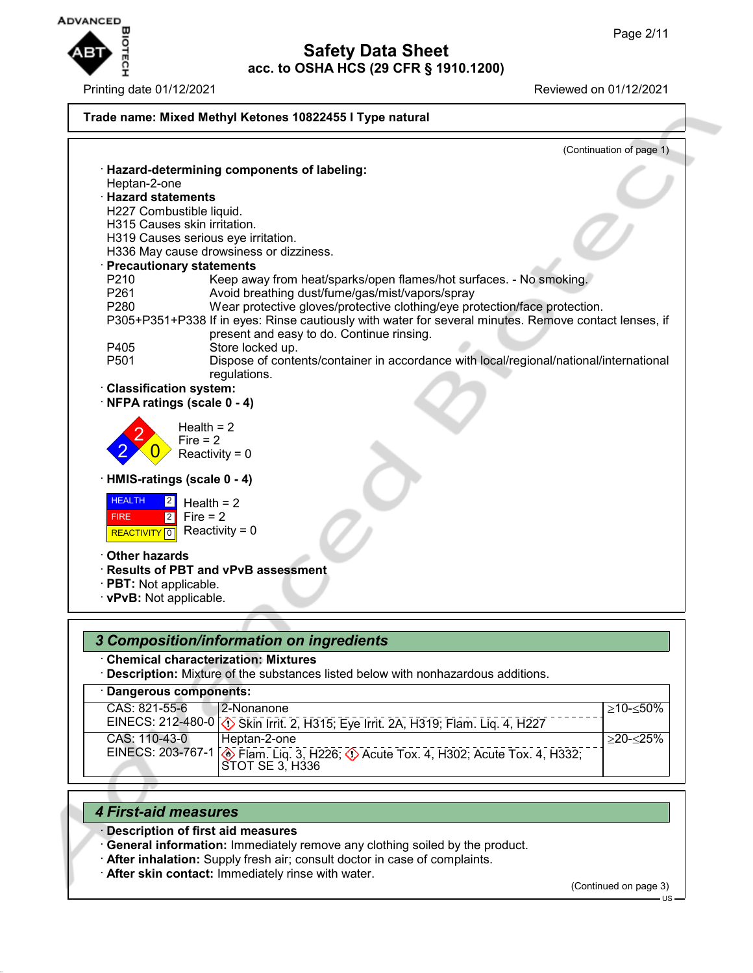

|                            | (Continuation of page 1)                                                                              |
|----------------------------|-------------------------------------------------------------------------------------------------------|
|                            | · Hazard-determining components of labeling:                                                          |
| Heptan-2-one               |                                                                                                       |
| · Hazard statements        |                                                                                                       |
|                            | H227 Combustible liquid.                                                                              |
|                            | H315 Causes skin irritation.                                                                          |
|                            | H319 Causes serious eye irritation.                                                                   |
|                            | H336 May cause drowsiness or dizziness.                                                               |
|                            | <b>Precautionary statements</b>                                                                       |
| P210                       | Keep away from heat/sparks/open flames/hot surfaces. - No smoking.                                    |
| P261                       | Avoid breathing dust/fume/gas/mist/vapors/spray                                                       |
| P280                       | Wear protective gloves/protective clothing/eye protection/face protection.                            |
|                            | P305+P351+P338 If in eyes: Rinse cautiously with water for several minutes. Remove contact lenses, if |
|                            | present and easy to do. Continue rinsing.                                                             |
| P405                       | Store locked up.                                                                                      |
| P501                       | Dispose of contents/container in accordance with local/regional/national/international                |
|                            | regulations.                                                                                          |
| · Classification system:   | NFPA ratings (scale 0 - 4)                                                                            |
|                            |                                                                                                       |
|                            | Health $= 2$                                                                                          |
|                            | $Fire = 2$                                                                                            |
|                            | Reactivity = $0$                                                                                      |
|                            |                                                                                                       |
|                            | HMIS-ratings (scale 0 - 4)                                                                            |
| <b>HEALTH</b><br> 2        | Health = $2$                                                                                          |
| $\boxed{2}$<br><b>FIRE</b> | $Fire = 2$                                                                                            |
|                            | Reactivity = $0$                                                                                      |
| REACTIVITY <sup>0</sup>    |                                                                                                       |
| <b>Other hazards</b>       |                                                                                                       |
|                            | · Results of PBT and vPvB assessment                                                                  |
| · PBT: Not applicable.     |                                                                                                       |
| · vPvB: Not applicable.    |                                                                                                       |
|                            |                                                                                                       |

· **Chemical characterization: Mixtures**

· **Description:** Mixture of the substances listed below with nonhazardous additions.

| · Dangerous components: |                                                                                                              |                 |
|-------------------------|--------------------------------------------------------------------------------------------------------------|-----------------|
| CAS: 821-55-6           | 2-Nonanone                                                                                                   | $>10 - 50\%$    |
|                         | EINECS: 212-480-0 (1) Skin Irrit. 2, H315; Eye Irrit. 2A, H319; Flam. Liq. 4, H227                           |                 |
| CAS: 110-43-0           | i Heptan-2-one                                                                                               | $>$ 20- $<$ 25% |
|                         | EINECS: 203-767-1 <b>.</b> Flam. Liq. 3, H226; 4 Acute Tox. 4, H302; Acute Tox. 4, H332;<br> STOT SE 3. H336 |                 |

# *4 First-aid measures*

- · **Description of first aid measures**
- · **General information:** Immediately remove any clothing soiled by the product.
- · **After inhalation:** Supply fresh air; consult doctor in case of complaints.
- · **After skin contact:** Immediately rinse with water.

(Continued on page 3)

US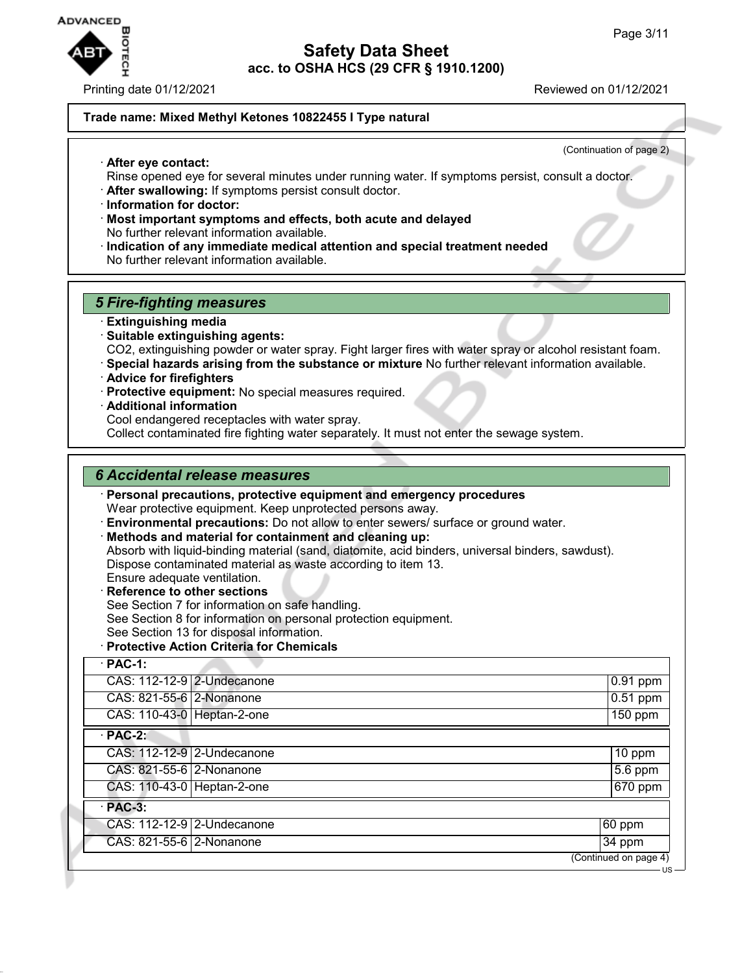

· **After eye contact:**

Printing date 01/12/2021 **Printing date 01/12/2021** 

## **Trade name: Mixed Methyl Ketones 10822455 I Type natural**

(Continuation of page 2)

- Rinse opened eye for several minutes under running water. If symptoms persist, consult a doctor.
- · **After swallowing:** If symptoms persist consult doctor.
- · **Information for doctor:**
- · **Most important symptoms and effects, both acute and delayed** No further relevant information available.
- · **Indication of any immediate medical attention and special treatment needed** No further relevant information available.

#### *5 Fire-fighting measures*

- · **Extinguishing media**
- · **Suitable extinguishing agents:**

CO2, extinguishing powder or water spray. Fight larger fires with water spray or alcohol resistant foam.

- · **Special hazards arising from the substance or mixture** No further relevant information available.
- · **Advice for firefighters**
- · **Protective equipment:** No special measures required.
- · **Additional information**

Cool endangered receptacles with water spray.

Collect contaminated fire fighting water separately. It must not enter the sewage system.

#### *6 Accidental release measures*

· **Personal precautions, protective equipment and emergency procedures**

Wear protective equipment. Keep unprotected persons away.

- · **Environmental precautions:** Do not allow to enter sewers/ surface or ground water.
- · **Methods and material for containment and cleaning up:**
- Absorb with liquid-binding material (sand, diatomite, acid binders, universal binders, sawdust). Dispose contaminated material as waste according to item 13.
- Ensure adequate ventilation.
- · **Reference to other sections**
- See Section 7 for information on safe handling.
- See Section 8 for information on personal protection equipment.
- See Section 13 for disposal information.
- · **Protective Action Criteria for Chemicals**

| $\cdot$ PAC-1:             |                            |                                                                 |
|----------------------------|----------------------------|-----------------------------------------------------------------|
|                            | CAS: 112-12-9 2-Undecanone | $0.91$ ppm                                                      |
| CAS: 821-55-6 2-Nonanone   |                            | $0.51$ ppm                                                      |
| CAS: 110-43-0 Heptan-2-one |                            | $150$ ppm                                                       |
| $·$ PAC-2:                 |                            |                                                                 |
|                            | CAS: 112-12-9 2-Undecanone | $10$ ppm                                                        |
| CAS: 821-55-6 2-Nonanone   |                            | 5.6 ppm                                                         |
| CAS: 110-43-0 Heptan-2-one |                            | $\overline{670}$ ppm                                            |
| $·$ PAC-3:                 |                            |                                                                 |
|                            | CAS: 112-12-9 2-Undecanone | $60$ ppm                                                        |
| CAS: 821-55-6 2-Nonanone   |                            | $34$ ppm                                                        |
|                            |                            | (Continued on page $\overline{4}$ )<br>$\overline{\phantom{a}}$ |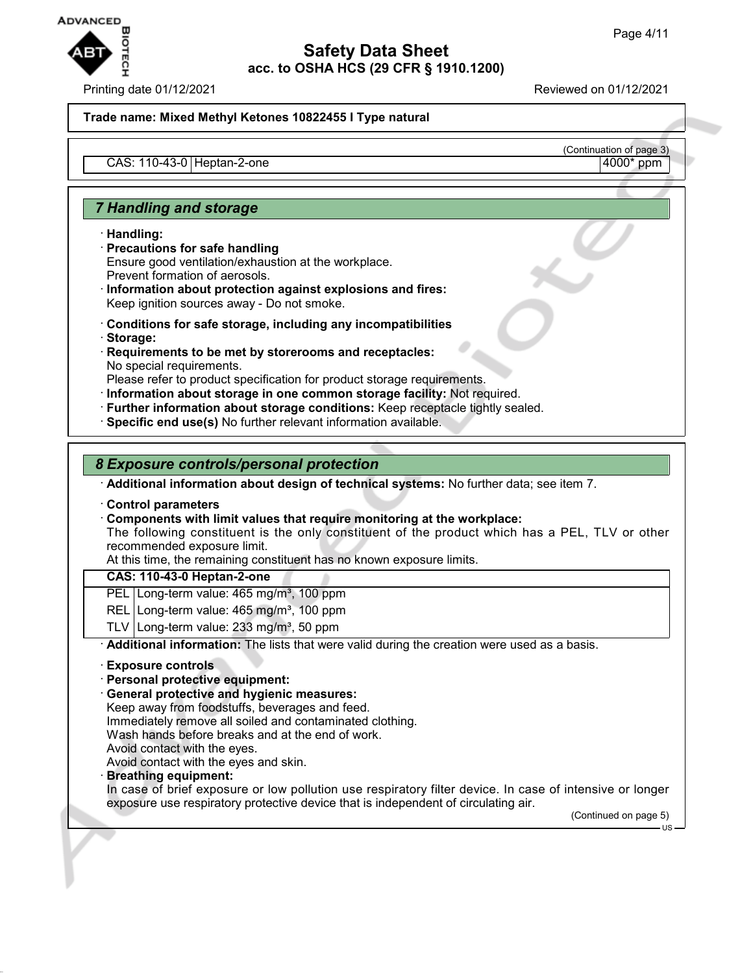

Printing date 01/12/2021 Reviewed on 01/12/2021

(Continuation of page 3)

#### **Trade name: Mixed Methyl Ketones 10822455 I Type natural**

 $CAS: 110-43-0$  Heptan-2-one

# *7 Handling and storage*

· **Handling:**

- · **Precautions for safe handling** Ensure good ventilation/exhaustion at the workplace. Prevent formation of aerosols.
- · **Information about protection against explosions and fires:** Keep ignition sources away - Do not smoke.
- · **Conditions for safe storage, including any incompatibilities**
- · **Storage:**
- · **Requirements to be met by storerooms and receptacles:** No special requirements.

Please refer to product specification for product storage requirements.

- · **Information about storage in one common storage facility:** Not required.
- · **Further information about storage conditions:** Keep receptacle tightly sealed.
- · **Specific end use(s)** No further relevant information available.

# *8 Exposure controls/personal protection*

· **Additional information about design of technical systems:** No further data; see item 7.

· **Control parameters**

- · **Components with limit values that require monitoring at the workplace:**
- The following constituent is the only constituent of the product which has a PEL, TLV or other recommended exposure limit.

At this time, the remaining constituent has no known exposure limits.

#### **CAS: 110-43-0 Heptan-2-one**

PEL Long-term value: 465 mg/m<sup>3</sup>, 100 ppm

- REL Long-term value: 465 mg/m<sup>3</sup>, 100 ppm
- TLV Long-term value:  $233$  mg/m<sup>3</sup>, 50 ppm

· **Additional information:** The lists that were valid during the creation were used as a basis.

- · **Exposure controls**
- · **Personal protective equipment:**
- · **General protective and hygienic measures:**

Keep away from foodstuffs, beverages and feed.

Immediately remove all soiled and contaminated clothing.

Wash hands before breaks and at the end of work.

Avoid contact with the eyes.

Avoid contact with the eyes and skin.

#### · **Breathing equipment:**

In case of brief exposure or low pollution use respiratory filter device. In case of intensive or longer exposure use respiratory protective device that is independent of circulating air.

(Continued on page 5)

US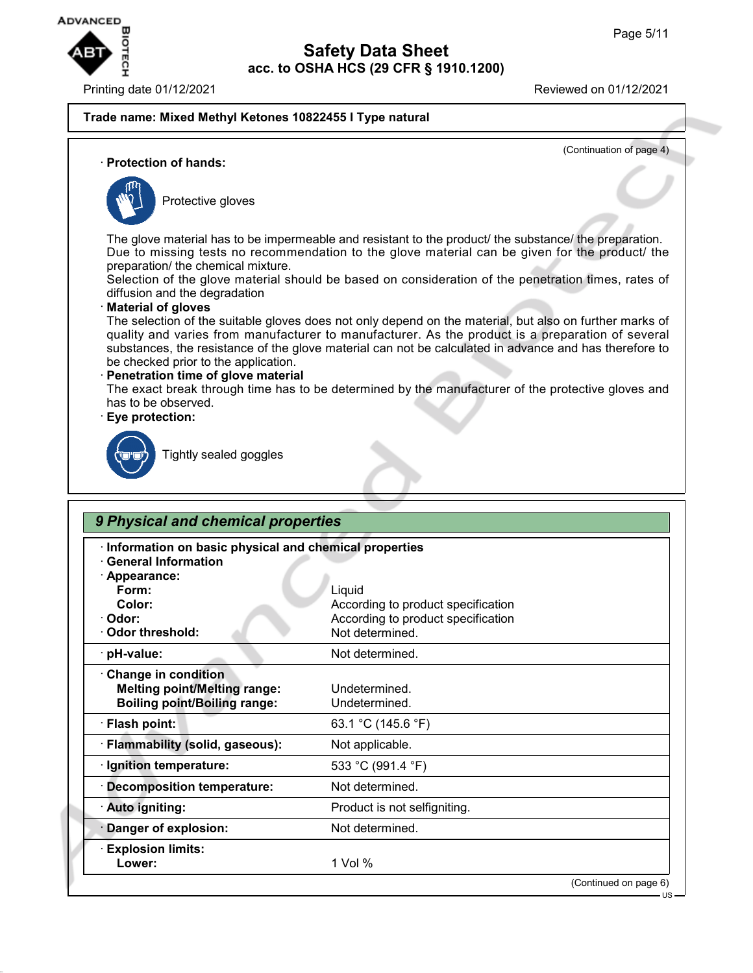

#### **Trade name: Mixed Methyl Ketones 10822455 I Type natural**

(Continuation of page 4)

#### · **Protection of hands:**



Protective gloves

The glove material has to be impermeable and resistant to the product/ the substance/ the preparation. Due to missing tests no recommendation to the glove material can be given for the product/ the preparation/ the chemical mixture.

Selection of the glove material should be based on consideration of the penetration times, rates of diffusion and the degradation

## · **Material of gloves**

The selection of the suitable gloves does not only depend on the material, but also on further marks of quality and varies from manufacturer to manufacturer. As the product is a preparation of several substances, the resistance of the glove material can not be calculated in advance and has therefore to be checked prior to the application.

#### · **Penetration time of glove material**

The exact break through time has to be determined by the manufacturer of the protective gloves and has to be observed.

#### · **Eye protection:**



Tightly sealed goggles

| Information on basic physical and chemical properties<br><b>General Information</b>               |                                                       |
|---------------------------------------------------------------------------------------------------|-------------------------------------------------------|
| · Appearance:                                                                                     |                                                       |
| Form:                                                                                             | Liquid                                                |
| Color:                                                                                            | According to product specification                    |
| · Odor:<br>Odor threshold:                                                                        | According to product specification<br>Not determined. |
|                                                                                                   |                                                       |
| · pH-value:                                                                                       | Not determined.                                       |
| Change in condition<br><b>Melting point/Melting range:</b><br><b>Boiling point/Boiling range:</b> | Undetermined.<br>Undetermined.                        |
| · Flash point:                                                                                    | 63.1 °C (145.6 °F)                                    |
| · Flammability (solid, gaseous):                                                                  | Not applicable.                                       |
| · Ignition temperature:                                                                           | 533 °C (991.4 °F)                                     |
| <b>Decomposition temperature:</b>                                                                 | Not determined.                                       |
| · Auto igniting:                                                                                  | Product is not selfigniting.                          |
| Danger of explosion:                                                                              | Not determined.                                       |
| <b>Explosion limits:</b>                                                                          |                                                       |
| Lower:                                                                                            | 1 Vol %                                               |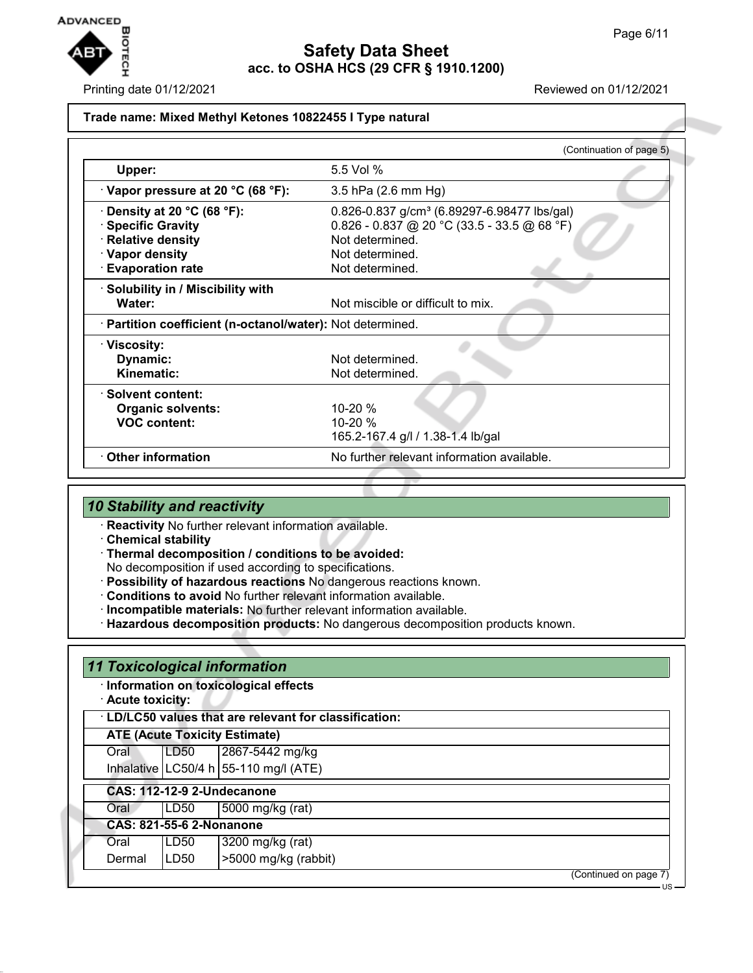

Printing date 01/12/2021 Reviewed on 01/12/2021

## **Trade name: Mixed Methyl Ketones 10822455 I Type natural**

|                                                            | (Continuation of page 5)                                |
|------------------------------------------------------------|---------------------------------------------------------|
| Upper:                                                     | 5.5 Vol %                                               |
| $\cdot$ Vapor pressure at 20 °C (68 °F):                   | 3.5 hPa (2.6 mm Hg)                                     |
| $\cdot$ Density at 20 °C (68 °F):                          | 0.826-0.837 g/cm <sup>3</sup> (6.89297-6.98477 lbs/gal) |
| · Specific Gravity                                         | $0.826 - 0.837$ @ 20 °C (33.5 - 33.5 @ 68 °F)           |
| · Relative density                                         | Not determined.                                         |
| · Vapor density                                            | Not determined.                                         |
| <b>Evaporation rate</b>                                    | Not determined.                                         |
| · Solubility in / Miscibility with                         |                                                         |
| Water:                                                     | Not miscible or difficult to mix.                       |
| · Partition coefficient (n-octanol/water): Not determined. |                                                         |
| · Viscosity:                                               |                                                         |
| Dynamic:                                                   | Not determined.                                         |
| Kinematic:                                                 | Not determined.                                         |
| · Solvent content:                                         |                                                         |
| <b>Organic solvents:</b>                                   | $10 - 20%$                                              |
| <b>VOC content:</b>                                        | $10 - 20 %$                                             |
|                                                            | 165.2-167.4 g/l / 1.38-1.4 lb/gal                       |
| Other information                                          | No further relevant information available.              |
|                                                            |                                                         |

# *10 Stability and reactivity*

· **Reactivity** No further relevant information available.

- · **Chemical stability**
- · **Thermal decomposition / conditions to be avoided:**
- No decomposition if used according to specifications.
- · **Possibility of hazardous reactions** No dangerous reactions known.
- · **Conditions to avoid** No further relevant information available.
- · **Incompatible materials:** No further relevant information available.
- · **Hazardous decomposition products:** No dangerous decomposition products known.

| · Acute toxicity: |                                 | · Information on toxicological effects                 |                       |
|-------------------|---------------------------------|--------------------------------------------------------|-----------------------|
|                   |                                 | · LD/LC50 values that are relevant for classification: |                       |
|                   |                                 | <b>ATE (Acute Toxicity Estimate)</b>                   |                       |
| Oral              | LD <sub>50</sub>                | 2867-5442 mg/kg                                        |                       |
|                   |                                 | Inhalative   LC50/4 h   55-110 mg/l (ATE)              |                       |
|                   |                                 | <b>CAS: 112-12-9 2-Undecanone</b>                      |                       |
| Oral              | LD50                            | 5000 mg/kg (rat)                                       |                       |
|                   | <b>CAS: 821-55-6 2-Nonanone</b> |                                                        |                       |
| Oral              | LD50                            | 3200 mg/kg (rat)                                       |                       |
| Dermal            | LD50                            | >5000 mg/kg (rabbit)                                   |                       |
|                   |                                 |                                                        | (Continued on page 7) |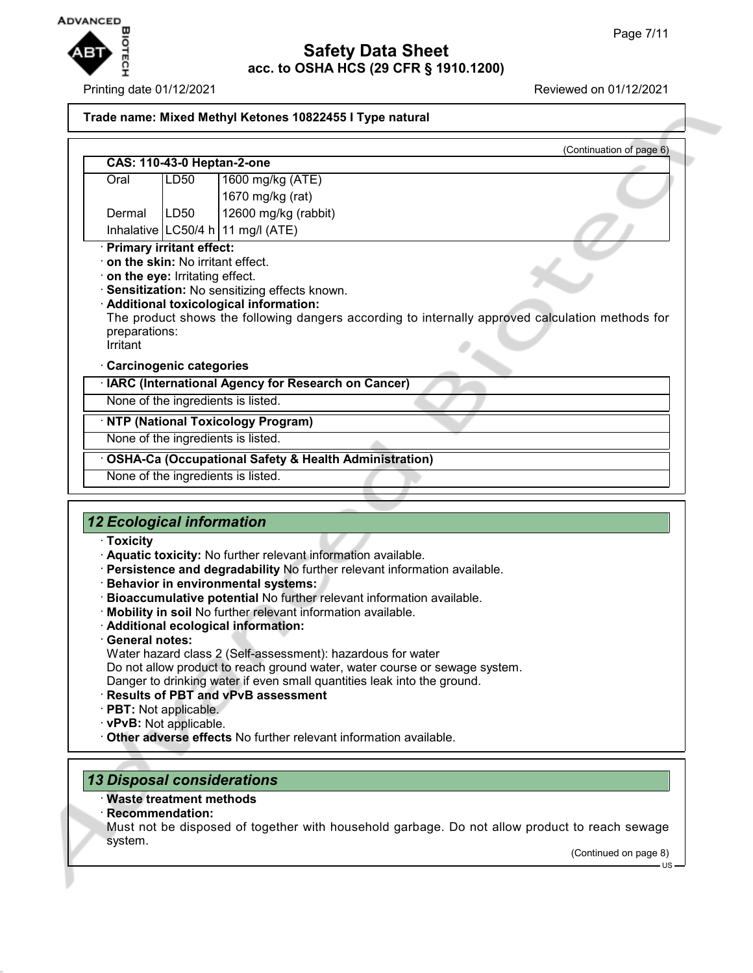

Printing date 01/12/2021 Reviewed on 01/12/2021

| Trade name: Mixed Methyl Ketones 10822455 I Type natural |      |                                                                                                  |  |
|----------------------------------------------------------|------|--------------------------------------------------------------------------------------------------|--|
|                                                          |      | (Continuation of page 6)                                                                         |  |
| <b>CAS: 110-43-0 Heptan-2-one</b>                        |      |                                                                                                  |  |
| Oral                                                     | LD50 | 1600 mg/kg (ATE)                                                                                 |  |
|                                                          |      | 1670 mg/kg (rat)                                                                                 |  |
| Dermal                                                   | LD50 | 12600 mg/kg (rabbit)                                                                             |  |
|                                                          |      | Inhalative   LC50/4 h   11 mg/l (ATE)                                                            |  |
| <b>Primary irritant effect:</b>                          |      |                                                                                                  |  |
| on the skin: No irritant effect.                         |      |                                                                                                  |  |
| on the eye: Irritating effect.                           |      |                                                                                                  |  |
|                                                          |      | Sensitization: No sensitizing effects known.<br>Additional toxicological information:            |  |
| preparations:<br>Irritant                                |      | The product shows the following dangers according to internally approved calculation methods for |  |
| <b>Carcinogenic categories</b>                           |      |                                                                                                  |  |
|                                                          |      | IARC (International Agency for Research on Cancer)                                               |  |
|                                                          |      | None of the ingredients is listed.                                                               |  |
|                                                          |      | <b>NTP (National Toxicology Program)</b>                                                         |  |
|                                                          |      | None of the ingredients is listed.                                                               |  |
|                                                          |      | <b>OSHA-Ca (Occupational Safety &amp; Health Administration)</b>                                 |  |
|                                                          |      | None of the ingredients is listed.                                                               |  |
|                                                          |      |                                                                                                  |  |

# *12 Ecological information*

- · **Toxicity**
- · **Aquatic toxicity:** No further relevant information available.
- · **Persistence and degradability** No further relevant information available.
- · **Behavior in environmental systems:**
- · **Bioaccumulative potential** No further relevant information available.
- · **Mobility in soil** No further relevant information available.
- · **Additional ecological information:**
- · **General notes:**
- Water hazard class 2 (Self-assessment): hazardous for water
- Do not allow product to reach ground water, water course or sewage system. Danger to drinking water if even small quantities leak into the ground.
- · **Results of PBT and vPvB assessment**
- · **PBT:** Not applicable.
- · **vPvB:** Not applicable.
- 
- · **Other adverse effects** No further relevant information available.

# *13 Disposal considerations*

- · **Waste treatment methods**
- · **Recommendation:**
- Must not be disposed of together with household garbage. Do not allow product to reach sewage system.

(Continued on page 8)

 $\overline{11}$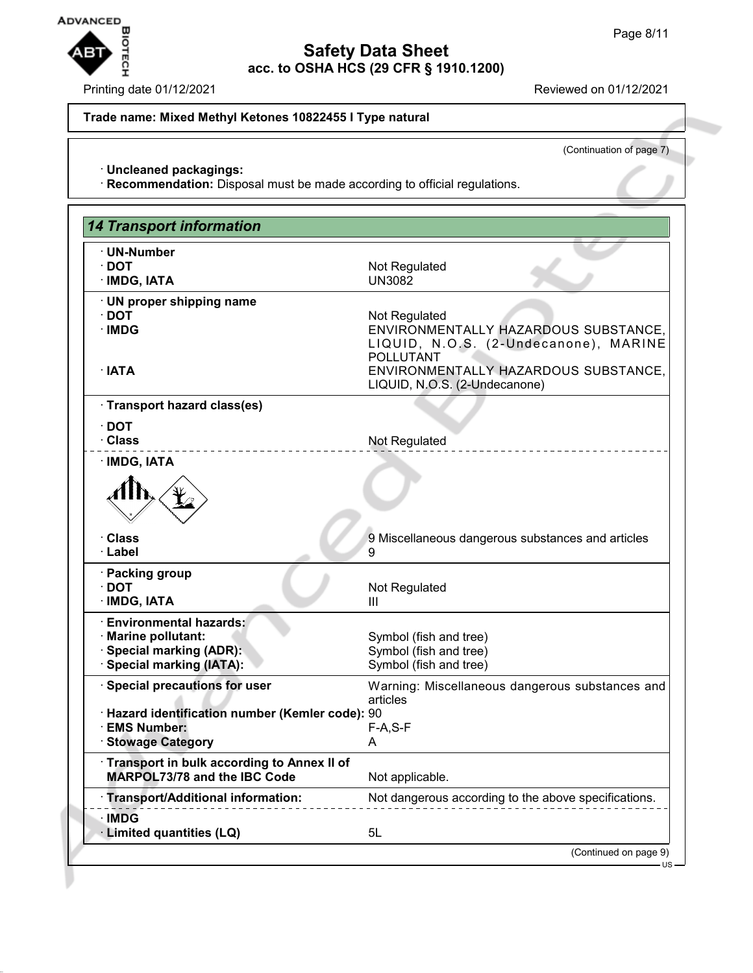# **Safety Data Sheet**

**acc. to OSHA HCS (29 CFR § 1910.1200)**

## Printing date 01/12/2021 **Reviewed on 01/12/2021**

## **Trade name: Mixed Methyl Ketones 10822455 I Type natural**

(Continuation of page 7)

· **Uncleaned packagings:**

· **Recommendation:** Disposal must be made according to official regulations.

| <b>14 Transport information</b>                                                                                    |                                                                                                                    |
|--------------------------------------------------------------------------------------------------------------------|--------------------------------------------------------------------------------------------------------------------|
| · UN-Number<br>$\cdot$ DOT<br>· IMDG, IATA                                                                         | Not Regulated<br><b>UN3082</b>                                                                                     |
| UN proper shipping name<br>$\cdot$ DOT<br>· IMDG                                                                   | Not Regulated<br>ENVIRONMENTALLY HAZARDOUS SUBSTANCE,<br>LIQUID, N.O.S. (2-Undecanone), MARINE<br><b>POLLUTANT</b> |
| $\cdot$ IATA                                                                                                       | ENVIRONMENTALLY HAZARDOUS SUBSTANCE,<br>LIQUID, N.O.S. (2-Undecanone)                                              |
| · Transport hazard class(es)                                                                                       |                                                                                                                    |
| $\cdot$ DOT<br>· Class                                                                                             | Not Regulated                                                                                                      |
| · IMDG, IATA                                                                                                       |                                                                                                                    |
|                                                                                                                    |                                                                                                                    |
| <b>Class</b><br>· Label                                                                                            | 9 Miscellaneous dangerous substances and articles<br>9                                                             |
| · Packing group<br>$\cdot$ DOT<br>· IMDG, IATA                                                                     | Not Regulated<br>Ш                                                                                                 |
| <b>Environmental hazards:</b><br>· Marine pollutant:<br><b>Special marking (ADR):</b><br>· Special marking (IATA): | Symbol (fish and tree)<br>Symbol (fish and tree)<br>Symbol (fish and tree)                                         |
| · Special precautions for user                                                                                     | Warning: Miscellaneous dangerous substances and                                                                    |
| · Hazard identification number (Kemler code): 90<br>· EMS Number:<br><b>Stowage Category</b>                       | articles<br>$F-A, S-F$<br>A                                                                                        |
| Transport in bulk according to Annex II of<br><b>MARPOL73/78 and the IBC Code</b>                                  | Not applicable.                                                                                                    |
| <b>Transport/Additional information:</b>                                                                           | Not dangerous according to the above specifications.                                                               |
| · IMDG<br>· Limited quantities (LQ)                                                                                | 5L                                                                                                                 |
|                                                                                                                    | (Continued on page 9)                                                                                              |

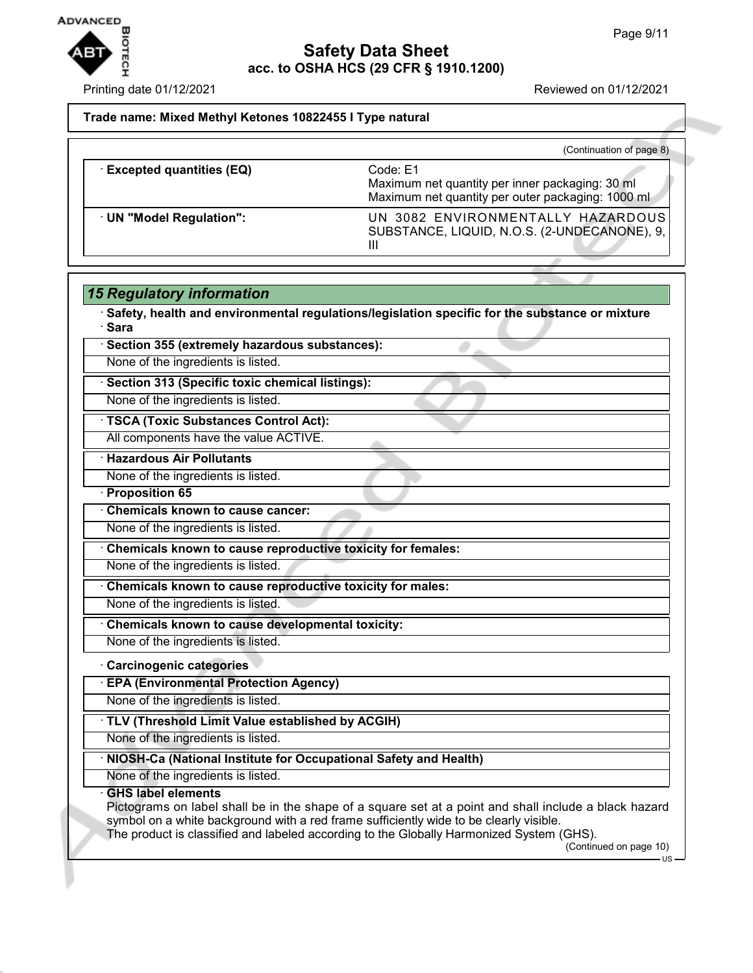

Printing date 01/12/2021 **Reviewed on 01/12/2021** 

## **Trade name: Mixed Methyl Ketones 10822455 I Type natural**

|                                 | (Continuation of page 8)                                                                                         |
|---------------------------------|------------------------------------------------------------------------------------------------------------------|
| <b>Excepted quantities (EQ)</b> | Code: E1<br>Maximum net quantity per inner packaging: 30 ml<br>Maximum net quantity per outer packaging: 1000 ml |
| UN "Model Regulation":          | UN 3082 ENVIRONMENTALLY HAZARDOUS<br>SUBSTANCE, LIQUID, N.O.S. (2-UNDECANONE), 9,<br>Ш                           |

#### *15 Regulatory information*

· **Safety, health and environmental regulations/legislation specific for the substance or mixture** · **Sara**

# · **Section 355 (extremely hazardous substances):**

None of the ingredients is listed.

· **Section 313 (Specific toxic chemical listings):**

None of the ingredients is listed.

· **TSCA (Toxic Substances Control Act):**

All components have the value ACTIVE.

· **Hazardous Air Pollutants**

None of the ingredients is listed.

· **Proposition 65**

· **Chemicals known to cause cancer:**

None of the ingredients is listed.

· **Chemicals known to cause reproductive toxicity for females:**

None of the ingredients is listed.

· **Chemicals known to cause reproductive toxicity for males:**

None of the ingredients is listed.

· **Chemicals known to cause developmental toxicity:**

None of the ingredients is listed.

# · **Carcinogenic categories**

· **EPA (Environmental Protection Agency)**

None of the ingredients is listed.

# · **TLV (Threshold Limit Value established by ACGIH)**

None of the ingredients is listed.

#### · **NIOSH-Ca (National Institute for Occupational Safety and Health)**

None of the ingredients is listed.

#### · **GHS label elements**

Pictograms on label shall be in the shape of a square set at a point and shall include a black hazard symbol on a white background with a red frame sufficiently wide to be clearly visible.

The product is classified and labeled according to the Globally Harmonized System (GHS).

(Continued on page 10)

US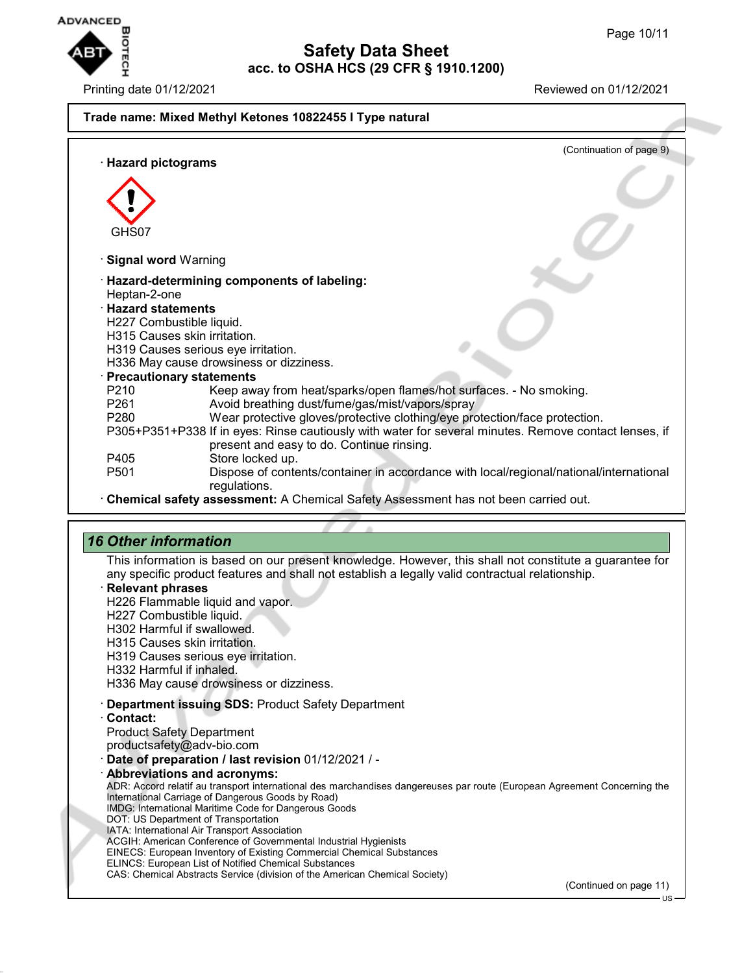

# Printing date 01/12/2021 Reviewed on 01/12/2021 **Trade name: Mixed Methyl Ketones 10822455 I Type natural** (Continuation of page 9) · **Hazard pictograms** GHS07 · **Signal word** Warning · **Hazard-determining components of labeling:** Heptan-2-one · **Hazard statements** H227 Combustible liquid. H315 Causes skin irritation. H319 Causes serious eye irritation. H336 May cause drowsiness or dizziness. · **Precautionary statements** P210 Keep away from heat/sparks/open flames/hot surfaces. - No smoking.<br>P261 Avoid breathing dust/fume/gas/mist/vapors/spray Avoid breathing dust/fume/gas/mist/vapors/spray P280 Wear protective gloves/protective clothing/eye protection/face protection. P305+P351+P338 If in eyes: Rinse cautiously with water for several minutes. Remove contact lenses, if present and easy to do. Continue rinsing. P405 Store locked up.<br>P501 Dispose of conte Dispose of contents/container in accordance with local/regional/national/international regulations. · **Chemical safety assessment:** A Chemical Safety Assessment has not been carried out.

# *16 Other information*

This information is based on our present knowledge. However, this shall not constitute a guarantee for any specific product features and shall not establish a legally valid contractual relationship.

- · **Relevant phrases**
- H226 Flammable liquid and vapor.
- H227 Combustible liquid.
- H302 Harmful if swallowed.
- H315 Causes skin irritation.
- H319 Causes serious eye irritation.
- H332 Harmful if inhaled.

H336 May cause drowsiness or dizziness.

- · **Department issuing SDS:** Product Safety Department
- · **Contact:**
- Product Safety Department
- productsafety@adv-bio.com
- · **Date of preparation / last revision** 01/12/2021 / -
- · **Abbreviations and acronyms:** ADR: Accord relatif au transport international des marchandises dangereuses par route (European Agreement Concerning the International Carriage of Dangerous Goods by Road) IMDG: International Maritime Code for Dangerous Goods DOT: US Department of Transportation IATA: International Air Transport Association ACGIH: American Conference of Governmental Industrial Hygienists EINECS: European Inventory of Existing Commercial Chemical Substances ELINCS: European List of Notified Chemical Substances CAS: Chemical Abstracts Service (division of the American Chemical Society)

(Continued on page 11)

US